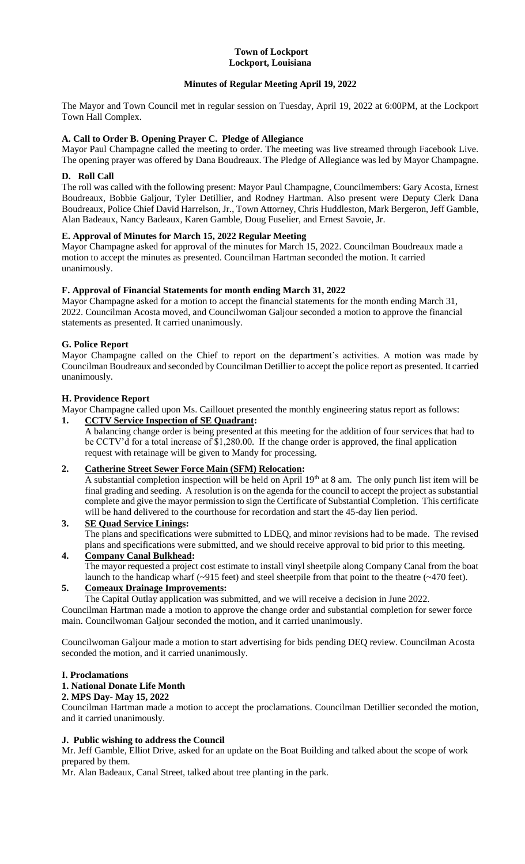#### **Town of Lockport Lockport, Louisiana**

# **Minutes of Regular Meeting April 19, 2022**

The Mayor and Town Council met in regular session on Tuesday, April 19, 2022 at 6:00PM, at the Lockport Town Hall Complex.

## **A. Call to Order B. Opening Prayer C. Pledge of Allegiance**

Mayor Paul Champagne called the meeting to order. The meeting was live streamed through Facebook Live. The opening prayer was offered by Dana Boudreaux. The Pledge of Allegiance was led by Mayor Champagne.

## **D. Roll Call**

The roll was called with the following present: Mayor Paul Champagne, Councilmembers: Gary Acosta, Ernest Boudreaux, Bobbie Galjour, Tyler Detillier, and Rodney Hartman. Also present were Deputy Clerk Dana Boudreaux, Police Chief David Harrelson, Jr., Town Attorney, Chris Huddleston, Mark Bergeron, Jeff Gamble, Alan Badeaux, Nancy Badeaux, Karen Gamble, Doug Fuselier, and Ernest Savoie, Jr.

## **E. Approval of Minutes for March 15, 2022 Regular Meeting**

Mayor Champagne asked for approval of the minutes for March 15, 2022. Councilman Boudreaux made a motion to accept the minutes as presented. Councilman Hartman seconded the motion. It carried unanimously.

## **F. Approval of Financial Statements for month ending March 31, 2022**

Mayor Champagne asked for a motion to accept the financial statements for the month ending March 31, 2022. Councilman Acosta moved, and Councilwoman Galjour seconded a motion to approve the financial statements as presented. It carried unanimously.

# **G. Police Report**

Mayor Champagne called on the Chief to report on the department's activities. A motion was made by Councilman Boudreaux and seconded by Councilman Detillier to accept the police report as presented. It carried unanimously.

## **H. Providence Report**

Mayor Champagne called upon Ms. Caillouet presented the monthly engineering status report as follows:

## **1. CCTV Service Inspection of SE Quadrant:**

A balancing change order is being presented at this meeting for the addition of four services that had to be CCTV'd for a total increase of \$1,280.00. If the change order is approved, the final application request with retainage will be given to Mandy for processing.

### **2. Catherine Street Sewer Force Main (SFM) Relocation:**

A substantial completion inspection will be held on April  $19<sup>th</sup>$  at 8 am. The only punch list item will be final grading and seeding. A resolution is on the agenda for the council to accept the project as substantial complete and give the mayor permission to sign the Certificate of Substantial Completion. This certificate will be hand delivered to the courthouse for recordation and start the 45-day lien period.

#### **3. SE Quad Service Linings:** The plans and specifications were submitted to LDEQ, and minor revisions had to be made. The revised plans and specifications were submitted, and we should receive approval to bid prior to this meeting. **4. Company Canal Bulkhead:**

The mayor requested a project cost estimate to install vinyl sheetpile along Company Canal from the boat launch to the handicap wharf (~915 feet) and steel sheetpile from that point to the theatre (~470 feet).

# **5. Comeaux Drainage Improvements:**

The Capital Outlay application was submitted, and we will receive a decision in June 2022.

Councilman Hartman made a motion to approve the change order and substantial completion for sewer force main. Councilwoman Galjour seconded the motion, and it carried unanimously.

Councilwoman Galjour made a motion to start advertising for bids pending DEQ review. Councilman Acosta seconded the motion, and it carried unanimously.

### **I. Proclamations**

# **1. National Donate Life Month**

## **2. MPS Day- May 15, 2022**

Councilman Hartman made a motion to accept the proclamations. Councilman Detillier seconded the motion, and it carried unanimously.

### **J. Public wishing to address the Council**

Mr. Jeff Gamble, Elliot Drive, asked for an update on the Boat Building and talked about the scope of work prepared by them.

Mr. Alan Badeaux, Canal Street, talked about tree planting in the park.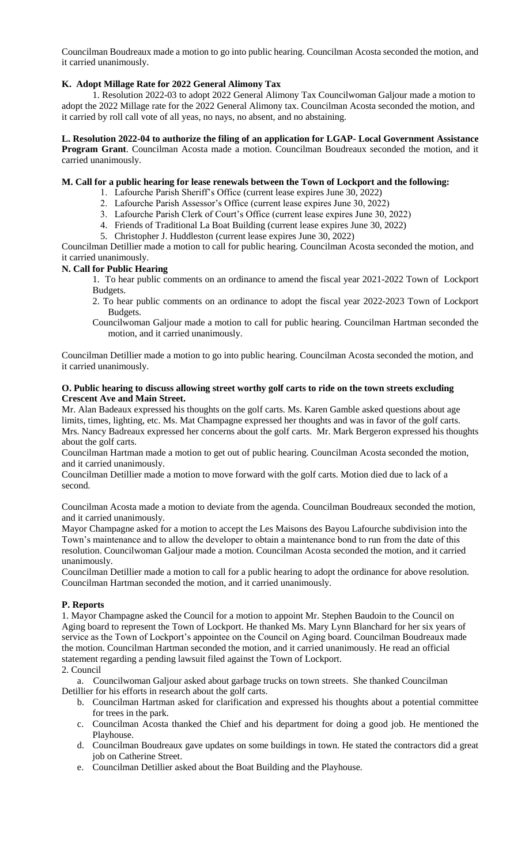Councilman Boudreaux made a motion to go into public hearing. Councilman Acosta seconded the motion, and it carried unanimously.

## **K. Adopt Millage Rate for 2022 General Alimony Tax**

1. Resolution 2022-03 to adopt 2022 General Alimony Tax Councilwoman Galjour made a motion to adopt the 2022 Millage rate for the 2022 General Alimony tax. Councilman Acosta seconded the motion, and it carried by roll call vote of all yeas, no nays, no absent, and no abstaining.

### **L. Resolution 2022-04 to authorize the filing of an application for LGAP- Local Government Assistance**

**Program Grant**. Councilman Acosta made a motion. Councilman Boudreaux seconded the motion, and it carried unanimously.

#### **M. Call for a public hearing for lease renewals between the Town of Lockport and the following:**

- 1. Lafourche Parish Sheriff's Office (current lease expires June 30, 2022)
- 2. Lafourche Parish Assessor's Office (current lease expires June 30, 2022)
- 3. Lafourche Parish Clerk of Court's Office (current lease expires June 30, 2022)
- 4. Friends of Traditional La Boat Building (current lease expires June 30, 2022)
- 5. Christopher J. Huddleston (current lease expires June 30, 2022)

Councilman Detillier made a motion to call for public hearing. Councilman Acosta seconded the motion, and it carried unanimously.

### **N. Call for Public Hearing**

- 1. To hear public comments on an ordinance to amend the fiscal year 2021-2022 Town of Lockport Budgets.
	- 2. To hear public comments on an ordinance to adopt the fiscal year 2022-2023 Town of Lockport Budgets.
	- Councilwoman Galjour made a motion to call for public hearing. Councilman Hartman seconded the motion, and it carried unanimously.

Councilman Detillier made a motion to go into public hearing. Councilman Acosta seconded the motion, and it carried unanimously.

#### **O. Public hearing to discuss allowing street worthy golf carts to ride on the town streets excluding Crescent Ave and Main Street.**

Mr. Alan Badeaux expressed his thoughts on the golf carts. Ms. Karen Gamble asked questions about age limits, times, lighting, etc. Ms. Mat Champagne expressed her thoughts and was in favor of the golf carts. Mrs. Nancy Badreaux expressed her concerns about the golf carts. Mr. Mark Bergeron expressed his thoughts about the golf carts.

Councilman Hartman made a motion to get out of public hearing. Councilman Acosta seconded the motion, and it carried unanimously.

Councilman Detillier made a motion to move forward with the golf carts. Motion died due to lack of a second.

Councilman Acosta made a motion to deviate from the agenda. Councilman Boudreaux seconded the motion, and it carried unanimously.

Mayor Champagne asked for a motion to accept the Les Maisons des Bayou Lafourche subdivision into the Town's maintenance and to allow the developer to obtain a maintenance bond to run from the date of this resolution. Councilwoman Galjour made a motion. Councilman Acosta seconded the motion, and it carried unanimously.

Councilman Detillier made a motion to call for a public hearing to adopt the ordinance for above resolution. Councilman Hartman seconded the motion, and it carried unanimously.

### **P. Reports**

1. Mayor Champagne asked the Council for a motion to appoint Mr. Stephen Baudoin to the Council on Aging board to represent the Town of Lockport. He thanked Ms. Mary Lynn Blanchard for her six years of service as the Town of Lockport's appointee on the Council on Aging board. Councilman Boudreaux made the motion. Councilman Hartman seconded the motion, and it carried unanimously. He read an official statement regarding a pending lawsuit filed against the Town of Lockport.

### 2. Council

a. Councilwoman Galjour asked about garbage trucks on town streets. She thanked Councilman Detillier for his efforts in research about the golf carts.

- b. Councilman Hartman asked for clarification and expressed his thoughts about a potential committee for trees in the park.
- c. Councilman Acosta thanked the Chief and his department for doing a good job. He mentioned the Playhouse.
- d. Councilman Boudreaux gave updates on some buildings in town. He stated the contractors did a great job on Catherine Street.
- e. Councilman Detillier asked about the Boat Building and the Playhouse.